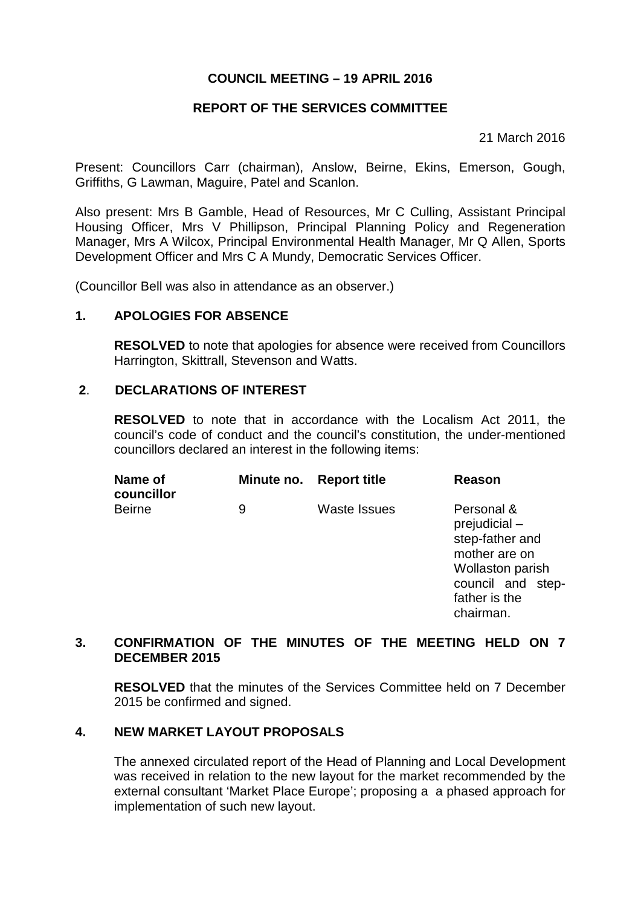## **COUNCIL MEETING – 19 APRIL 2016**

## **REPORT OF THE SERVICES COMMITTEE**

21 March 2016

Present: Councillors Carr (chairman), Anslow, Beirne, Ekins, Emerson, Gough, Griffiths, G Lawman, Maguire, Patel and Scanlon.

Also present: Mrs B Gamble, Head of Resources, Mr C Culling, Assistant Principal Housing Officer, Mrs V Phillipson, Principal Planning Policy and Regeneration Manager, Mrs A Wilcox, Principal Environmental Health Manager, Mr Q Allen, Sports Development Officer and Mrs C A Mundy, Democratic Services Officer.

(Councillor Bell was also in attendance as an observer.)

### **1. APOLOGIES FOR ABSENCE**

**RESOLVED** to note that apologies for absence were received from Councillors Harrington, Skittrall, Stevenson and Watts.

#### **2**. **DECLARATIONS OF INTEREST**

**RESOLVED** to note that in accordance with the Localism Act 2011, the council's code of conduct and the council's constitution, the under-mentioned councillors declared an interest in the following items:

| Name of<br>councillor |   | Minute no. Report title | Reason                                                                                                                                          |
|-----------------------|---|-------------------------|-------------------------------------------------------------------------------------------------------------------------------------------------|
| <b>Beirne</b>         | 9 | <b>Waste Issues</b>     | Personal &<br>$prejudicial -$<br>step-father and<br>mother are on<br><b>Wollaston parish</b><br>council and step-<br>father is the<br>chairman. |

### **3. CONFIRMATION OF THE MINUTES OF THE MEETING HELD ON 7 DECEMBER 2015**

**RESOLVED** that the minutes of the Services Committee held on 7 December 2015 be confirmed and signed.

### **4. NEW MARKET LAYOUT PROPOSALS**

The annexed circulated report of the Head of Planning and Local Development was received in relation to the new layout for the market recommended by the external consultant 'Market Place Europe'; proposing a a phased approach for implementation of such new layout.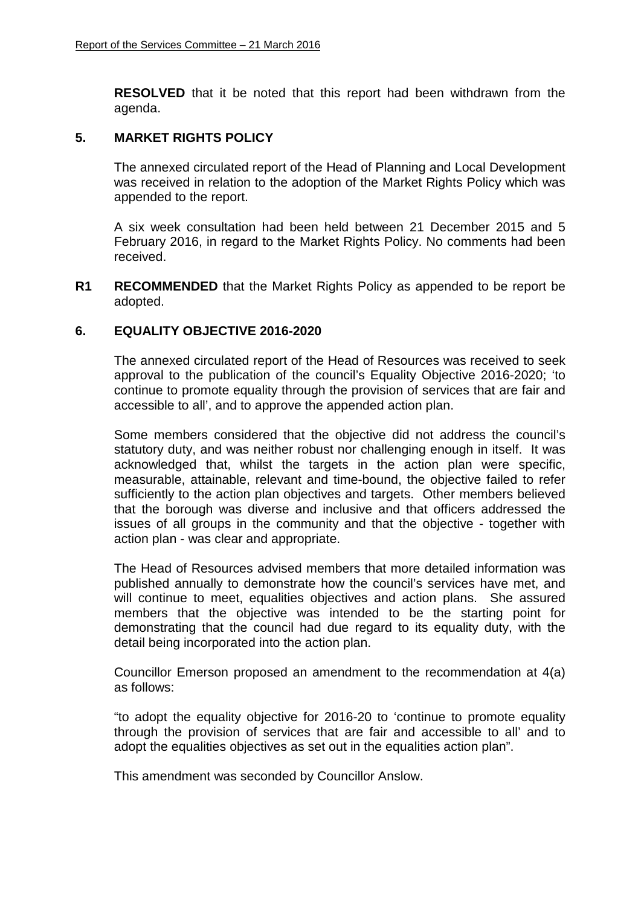**RESOLVED** that it be noted that this report had been withdrawn from the agenda.

#### **5. MARKET RIGHTS POLICY**

The annexed circulated report of the Head of Planning and Local Development was received in relation to the adoption of the Market Rights Policy which was appended to the report.

A six week consultation had been held between 21 December 2015 and 5 February 2016, in regard to the Market Rights Policy. No comments had been received.

**R1 RECOMMENDED** that the Market Rights Policy as appended to be report be adopted.

### **6. EQUALITY OBJECTIVE 2016-2020**

The annexed circulated report of the Head of Resources was received to seek approval to the publication of the council's Equality Objective 2016-2020; 'to continue to promote equality through the provision of services that are fair and accessible to all', and to approve the appended action plan.

Some members considered that the objective did not address the council's statutory duty, and was neither robust nor challenging enough in itself. It was acknowledged that, whilst the targets in the action plan were specific, measurable, attainable, relevant and time-bound, the objective failed to refer sufficiently to the action plan objectives and targets. Other members believed that the borough was diverse and inclusive and that officers addressed the issues of all groups in the community and that the objective - together with action plan - was clear and appropriate.

The Head of Resources advised members that more detailed information was published annually to demonstrate how the council's services have met, and will continue to meet, equalities objectives and action plans. She assured members that the objective was intended to be the starting point for demonstrating that the council had due regard to its equality duty, with the detail being incorporated into the action plan.

Councillor Emerson proposed an amendment to the recommendation at 4(a) as follows:

"to adopt the equality objective for 2016-20 to 'continue to promote equality through the provision of services that are fair and accessible to all' and to adopt the equalities objectives as set out in the equalities action plan".

This amendment was seconded by Councillor Anslow.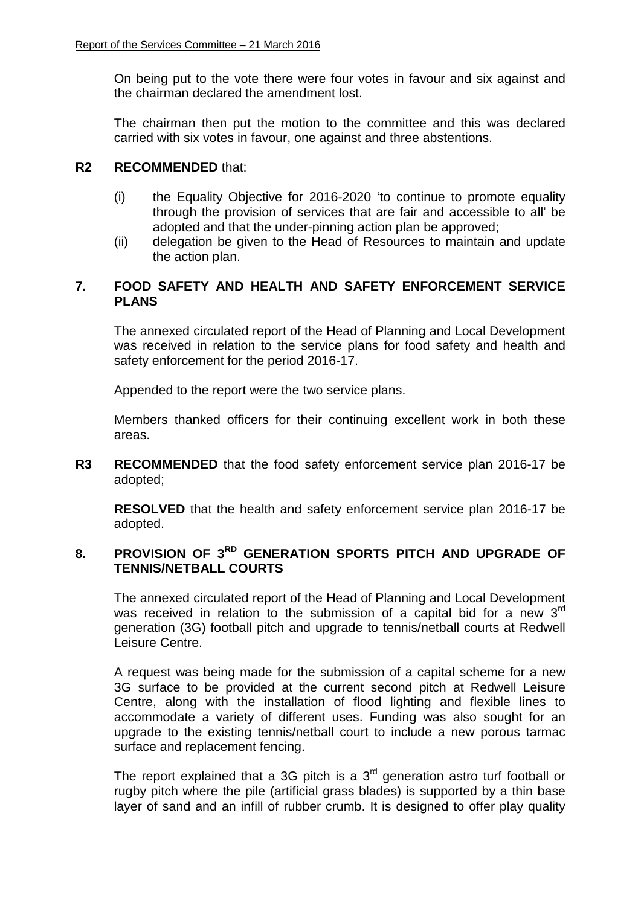On being put to the vote there were four votes in favour and six against and the chairman declared the amendment lost.

The chairman then put the motion to the committee and this was declared carried with six votes in favour, one against and three abstentions.

## **R2 RECOMMENDED** that:

- (i) the Equality Objective for 2016-2020 'to continue to promote equality through the provision of services that are fair and accessible to all' be adopted and that the under-pinning action plan be approved;
- (ii) delegation be given to the Head of Resources to maintain and update the action plan.

# **7. FOOD SAFETY AND HEALTH AND SAFETY ENFORCEMENT SERVICE PLANS**

The annexed circulated report of the Head of Planning and Local Development was received in relation to the service plans for food safety and health and safety enforcement for the period 2016-17.

Appended to the report were the two service plans.

Members thanked officers for their continuing excellent work in both these areas.

**R3 RECOMMENDED** that the food safety enforcement service plan 2016-17 be adopted;

**RESOLVED** that the health and safety enforcement service plan 2016-17 be adopted.

## **8. PROVISION OF 3RD GENERATION SPORTS PITCH AND UPGRADE OF TENNIS/NETBALL COURTS**

The annexed circulated report of the Head of Planning and Local Development was received in relation to the submission of a capital bid for a new 3<sup>rd</sup> generation (3G) football pitch and upgrade to tennis/netball courts at Redwell Leisure Centre.

A request was being made for the submission of a capital scheme for a new 3G surface to be provided at the current second pitch at Redwell Leisure Centre, along with the installation of flood lighting and flexible lines to accommodate a variety of different uses. Funding was also sought for an upgrade to the existing tennis/netball court to include a new porous tarmac surface and replacement fencing.

The report explained that a 3G pitch is a  $3<sup>rd</sup>$  generation astro turf football or rugby pitch where the pile (artificial grass blades) is supported by a thin base layer of sand and an infill of rubber crumb. It is designed to offer play quality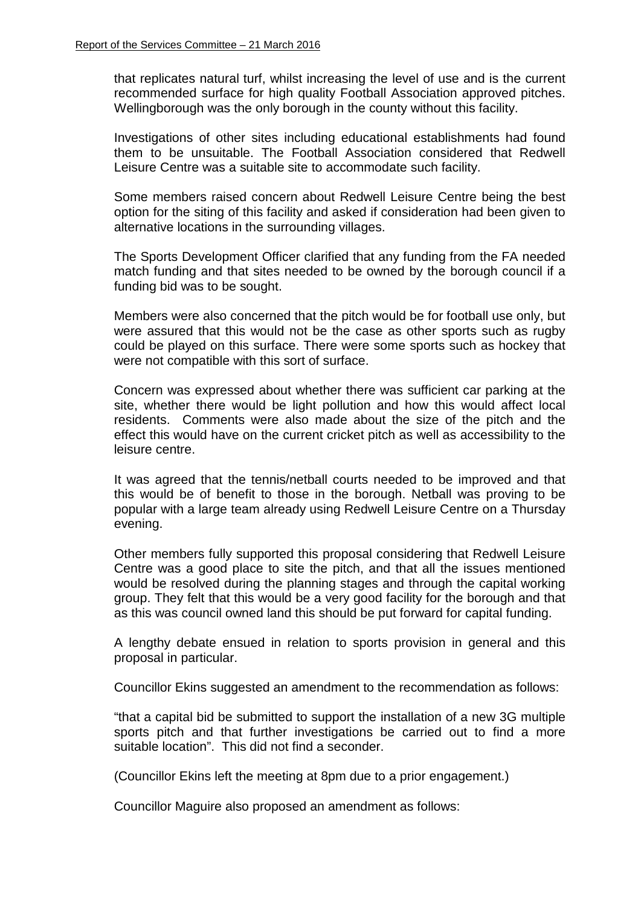that replicates natural turf, whilst increasing the level of use and is the current recommended surface for high quality Football Association approved pitches. Wellingborough was the only borough in the county without this facility.

Investigations of other sites including educational establishments had found them to be unsuitable. The Football Association considered that Redwell Leisure Centre was a suitable site to accommodate such facility.

Some members raised concern about Redwell Leisure Centre being the best option for the siting of this facility and asked if consideration had been given to alternative locations in the surrounding villages.

The Sports Development Officer clarified that any funding from the FA needed match funding and that sites needed to be owned by the borough council if a funding bid was to be sought.

Members were also concerned that the pitch would be for football use only, but were assured that this would not be the case as other sports such as rugby could be played on this surface. There were some sports such as hockey that were not compatible with this sort of surface.

Concern was expressed about whether there was sufficient car parking at the site, whether there would be light pollution and how this would affect local residents. Comments were also made about the size of the pitch and the effect this would have on the current cricket pitch as well as accessibility to the leisure centre.

It was agreed that the tennis/netball courts needed to be improved and that this would be of benefit to those in the borough. Netball was proving to be popular with a large team already using Redwell Leisure Centre on a Thursday evening.

Other members fully supported this proposal considering that Redwell Leisure Centre was a good place to site the pitch, and that all the issues mentioned would be resolved during the planning stages and through the capital working group. They felt that this would be a very good facility for the borough and that as this was council owned land this should be put forward for capital funding.

A lengthy debate ensued in relation to sports provision in general and this proposal in particular.

Councillor Ekins suggested an amendment to the recommendation as follows:

"that a capital bid be submitted to support the installation of a new 3G multiple sports pitch and that further investigations be carried out to find a more suitable location". This did not find a seconder.

(Councillor Ekins left the meeting at 8pm due to a prior engagement.)

Councillor Maguire also proposed an amendment as follows: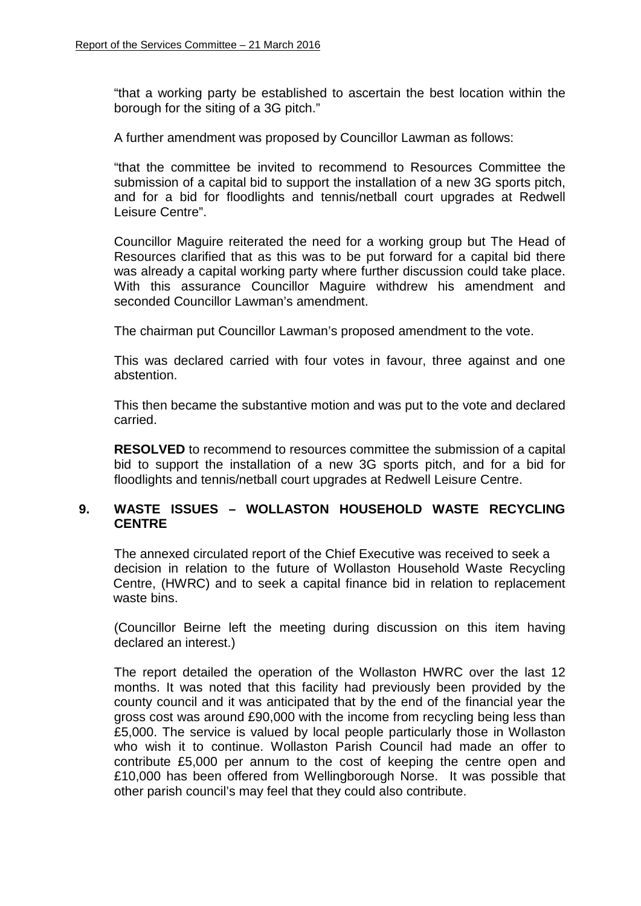"that a working party be established to ascertain the best location within the borough for the siting of a 3G pitch."

A further amendment was proposed by Councillor Lawman as follows:

"that the committee be invited to recommend to Resources Committee the submission of a capital bid to support the installation of a new 3G sports pitch, and for a bid for floodlights and tennis/netball court upgrades at Redwell Leisure Centre".

Councillor Maguire reiterated the need for a working group but The Head of Resources clarified that as this was to be put forward for a capital bid there was already a capital working party where further discussion could take place. With this assurance Councillor Maguire withdrew his amendment and seconded Councillor Lawman's amendment.

The chairman put Councillor Lawman's proposed amendment to the vote.

This was declared carried with four votes in favour, three against and one abstention.

This then became the substantive motion and was put to the vote and declared carried.

**RESOLVED** to recommend to resources committee the submission of a capital bid to support the installation of a new 3G sports pitch, and for a bid for floodlights and tennis/netball court upgrades at Redwell Leisure Centre.

### **9. WASTE ISSUES – WOLLASTON HOUSEHOLD WASTE RECYCLING CENTRE**

The annexed circulated report of the Chief Executive was received to seek a decision in relation to the future of Wollaston Household Waste Recycling Centre, (HWRC) and to seek a capital finance bid in relation to replacement waste bins.

(Councillor Beirne left the meeting during discussion on this item having declared an interest.)

The report detailed the operation of the Wollaston HWRC over the last 12 months. It was noted that this facility had previously been provided by the county council and it was anticipated that by the end of the financial year the gross cost was around £90,000 with the income from recycling being less than £5,000. The service is valued by local people particularly those in Wollaston who wish it to continue. Wollaston Parish Council had made an offer to contribute £5,000 per annum to the cost of keeping the centre open and £10,000 has been offered from Wellingborough Norse. It was possible that other parish council's may feel that they could also contribute.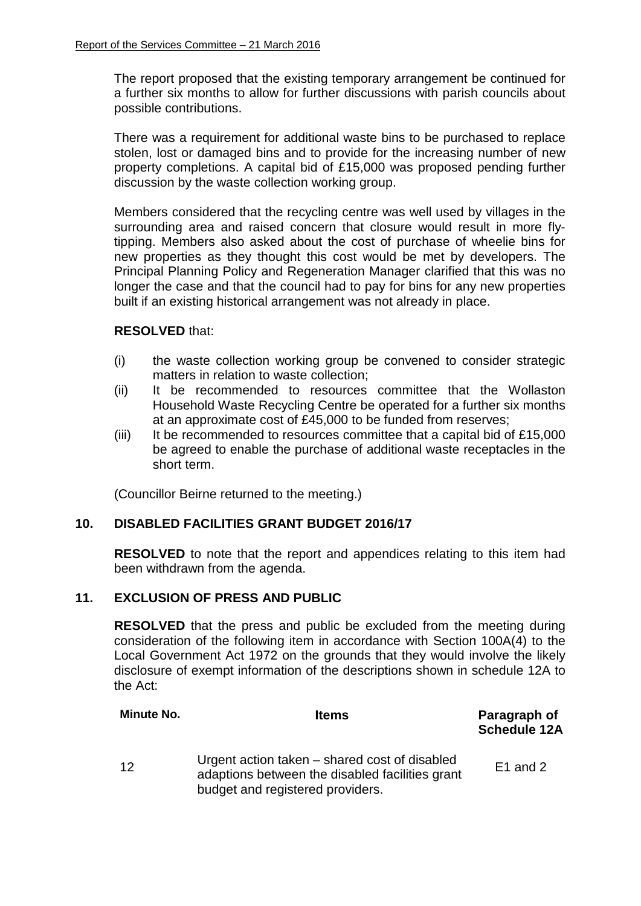The report proposed that the existing temporary arrangement be continued for a further six months to allow for further discussions with parish councils about possible contributions.

There was a requirement for additional waste bins to be purchased to replace stolen, lost or damaged bins and to provide for the increasing number of new property completions. A capital bid of £15,000 was proposed pending further discussion by the waste collection working group.

Members considered that the recycling centre was well used by villages in the surrounding area and raised concern that closure would result in more flytipping. Members also asked about the cost of purchase of wheelie bins for new properties as they thought this cost would be met by developers. The Principal Planning Policy and Regeneration Manager clarified that this was no longer the case and that the council had to pay for bins for any new properties built if an existing historical arrangement was not already in place.

#### **RESOLVED** that:

- (i) the waste collection working group be convened to consider strategic matters in relation to waste collection;
- (ii) It be recommended to resources committee that the Wollaston Household Waste Recycling Centre be operated for a further six months at an approximate cost of £45,000 to be funded from reserves;
- (iii) It be recommended to resources committee that a capital bid of £15,000 be agreed to enable the purchase of additional waste receptacles in the short term.

(Councillor Beirne returned to the meeting.)

# **10. DISABLED FACILITIES GRANT BUDGET 2016/17**

**RESOLVED** to note that the report and appendices relating to this item had been withdrawn from the agenda.

#### **11. EXCLUSION OF PRESS AND PUBLIC**

**RESOLVED** that the press and public be excluded from the meeting during consideration of the following item in accordance with Section 100A(4) to the Local Government Act 1972 on the grounds that they would involve the likely disclosure of exempt information of the descriptions shown in schedule 12A to the Act:

| <b>Minute No.</b> | <b>Items</b>                                                                                                                         | Paragraph of<br><b>Schedule 12A</b> |
|-------------------|--------------------------------------------------------------------------------------------------------------------------------------|-------------------------------------|
| 12                | Urgent action taken – shared cost of disabled<br>adaptions between the disabled facilities grant<br>budget and registered providers. | $E1$ and 2                          |